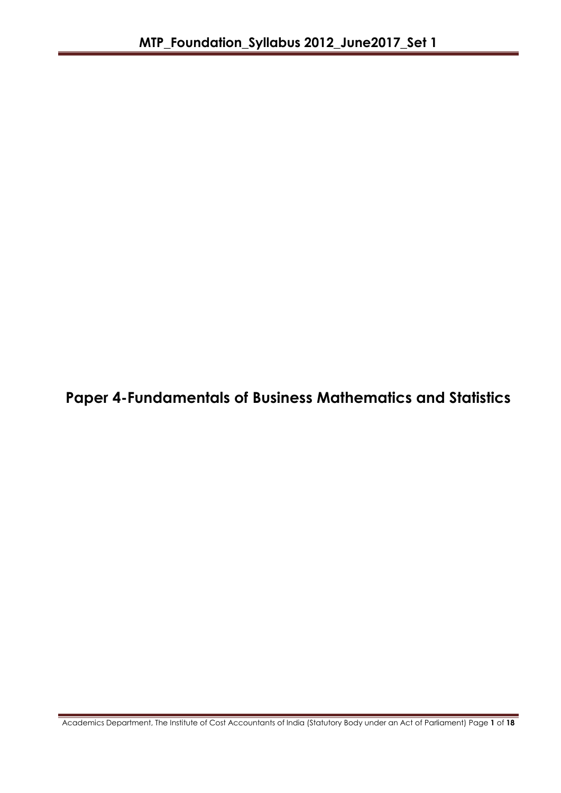**Paper 4-Fundamentals of Business Mathematics and Statistics**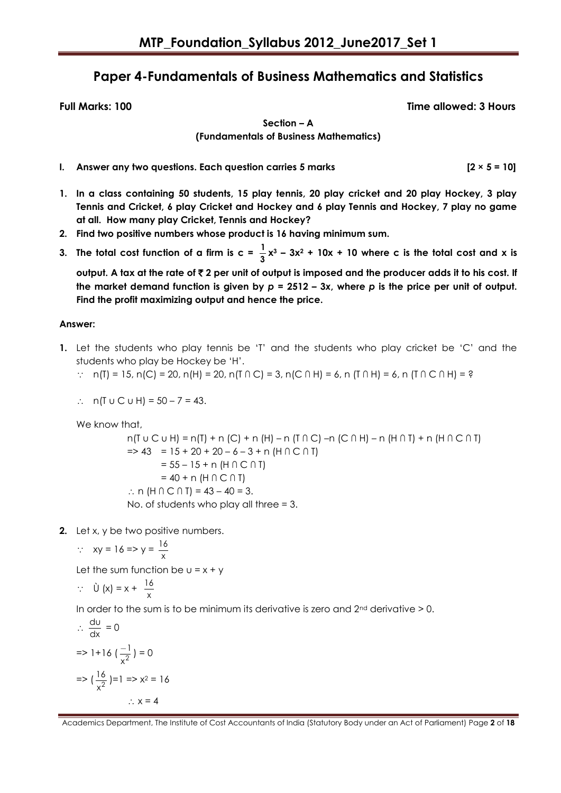# **Paper 4-Fundamentals of Business Mathematics and Statistics**

**Full Marks: 100 Time allowed: 3 Hours**

**Section – A** 

**(Fundamentals of Business Mathematics)**

**I. Answer any two questions. Each question carries 5 marks [2 × 5 = 10]**

**Find the profit maximizing output and hence the price.**

- **1. In a class containing 50 students, 15 play tennis, 20 play cricket and 20 play Hockey, 3 play Tennis and Cricket, 6 play Cricket and Hockey and 6 play Tennis and Hockey, 7 play no game at all. How many play Cricket, Tennis and Hockey?**
- **2. Find two positive numbers whose product is 16 having minimum sum.**
- **3.** The total cost function of a firm is  $c = \frac{1}{2}$  $\frac{1}{3}$  **x**<sup>3</sup> – 3x<sup>2</sup> + 10x + 10 where c is the total cost and x is **output. A tax at the rate of** ` **2 per unit of output is imposed and the producer adds it to his cost. If the market demand function is given by** *p* **= 2512 – 3***x***, where** *p* **is the price per unit of output.**

# **Answer:**

- **1.** Let the students who play tennis be "T" and the students who play cricket be "C" and the students who play be Hockey be "H".
	- ∴ n(T) = 15, n(C) = 20, n(H) = 20, n(T ∩ C) = 3, n(C ∩ H) = 6, n (T ∩ H) = 6, n (T ∩ C ∩ H) = ?

:. 
$$
n(T \cup C \cup H) = 50 - 7 = 43
$$
.

We know that,

n(T u C u H) = n(T) + n (C) + n (H) – n (T ∩ C) –n (C ∩ H) – n (H ∩ T) + n (H ∩ C ∩ T)  $\Rightarrow$  43 = 15 + 20 + 20 - 6 - 3 + n (H  $\cap$  C  $\cap$  T) = 55 – 15 + n (H ∩ C ∩ T)  $= 40 + n (H \cap C \cap T)$ ∴ n (H  $\cap$  C  $\cap$  T) = 43 – 40 = 3. No. of students who play all three = 3.

**2.** Let x, y be two positive numbers.

$$
\therefore xy = 16 \Rightarrow y = \frac{16}{x}
$$

Let the sum function be  $u = x + y$ 

$$
\therefore \quad \dot{U}(x) = x + \frac{16}{x}
$$

In order to the sum is to be minimum its derivative is zero and  $2<sup>nd</sup>$  derivative  $>0$ .

$$
\therefore \frac{du}{dx} = 0
$$
  
\n
$$
= 1 + 16 \left(\frac{-1}{x^2}\right) = 0
$$
  
\n
$$
= 2 \left(\frac{16}{x^2}\right) = 1 \Rightarrow x^2 = 16
$$
  
\n
$$
\therefore x = 4
$$

Academics Department, The Institute of Cost Accountants of India (Statutory Body under an Act of Parliament) Page **2** of **18**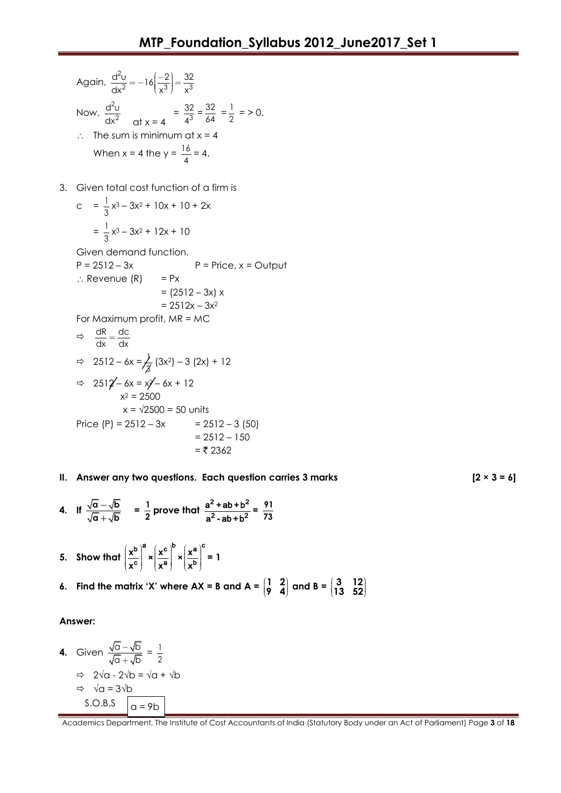- Again,  $\frac{d^2}{dt}$  $\frac{d^2v}{dx^2} = -16\left(\frac{-2}{x^3}\right) = \frac{32}{x^3}$  $dx^2$   $\left[ \begin{array}{c} 1 \\ 1 \end{array} \right]$   $\left[ \begin{array}{c} x^3 \end{array} \right]$   $\left[ \begin{array}{c} x \\ x \end{array} \right]$  $=-16\left(\frac{-2}{x^3}\right)=\frac{2}{3}$ Now,  $\frac{d^2}{dt}$ 2 d<sup>2</sup>u  $dx^2$  at  $x = 4$  $=\frac{32}{43}$ 32 4  $=\frac{32}{11}$  $\frac{32}{64} = \frac{1}{2}$  $\frac{1}{2}$  = > 0.  $\therefore$  The sum is minimum at  $x = 4$ When x = 4 the y =  $\frac{16}{4}$  $\frac{18}{4}$  = 4.
- 3. Given total cost function of a firm is

$$
c = \frac{1}{3}x^3 - 3x^2 + 10x + 10 + 2x
$$

$$
= \frac{1}{3}x^3 - 3x^2 + 12x + 10
$$

Given demand function.

 $P = 2512 - 3x$   $P = Price, x = Output$  $\therefore$  Revenue (R) = Px  $= (2512 - 3x) x$ 

$$
= 2512x - 3x^2
$$

For Maximum profit,  $MR = MC$ 

$$
\Rightarrow \frac{dR}{dx} = \frac{dc}{dx}
$$
  
\n
$$
\Rightarrow 2512 - 6x = \frac{1}{\cancel{3}} (3x^2) - 3 (2x) + 12
$$
  
\n
$$
\Rightarrow 2512 - 6x = x^2 - 6x + 12
$$
  
\n
$$
x^2 = 2500
$$
  
\n
$$
x = \sqrt{2500} = 50 \text{ units}
$$
  
\nPrice (P) = 2512 - 3x = 2512 - 3 (50)  
\n= 2512 - 150  
\n= ₹ 2362

**II. Answer any two questions. Each question carries 3 marks [2 × 3 = 6]**

- **4.** If  $\frac{\sqrt{a} \sqrt{b}}{b}$  $\mathsf{a} + \sqrt{\mathsf{b}}$  $\equiv$  $\frac{-\sqrt{b}}{+\sqrt{b}}$  =  $\frac{1}{2}$  $\frac{1}{2}$  prove that  $\frac{a^2 + ab + b^2}{a^2 - ab + b^2}$ 2  $a h + h^2$  $a<sup>2</sup>$  + ab + b  $a^2$  - ab + b  $= \frac{91}{12}$ **73**
- 5. Show that  $\left(\frac{x^{b}}{x^{c}}\right)^{a} \times \left(\frac{x^{c}}{x^{a}}\right)^{b} \times \left(\frac{x^{a}}{x^{b}}\right)^{c}$ b  $a \left( \sqrt{c} \right)^b \left( \sqrt{a} \right)^c$  $\overline{c}$   $\mid$   $\cap$   $\overline{c}$   $\mid$   $\cap$   $\overline{a}$   $\mid$   $\cap$   $\overline{b}$  $\left(\frac{x^{b}}{b}\right)^{a} \times \left(\frac{x^{c}}{b}\right)^{b} \times \left(\frac{x^{c}}{b}\right)$  $\left| \frac{x}{x^c} \right| \times \left| \frac{x}{x^a} \right| \times \left| \frac{x}{x^b} \right| = 1$
- **6.** Find the matrix 'X' where  $AX = B$  and  $A = \begin{bmatrix} 1 & 2 \\ 0 & 4 \end{bmatrix}$  $\begin{pmatrix} 1 & 2 \\ 9 & 4 \end{pmatrix}$  and B =  $\begin{pmatrix} 3 & 12 \\ 13 & 52 \end{pmatrix}$  $\begin{pmatrix} 3 & 12 \\ 13 & 52 \end{pmatrix}$

#### **Answer:**

**4.** Given  $\frac{\sqrt{a}-\sqrt{b}}{b}$ a + $\sqrt{b}$  $\equiv$  $\frac{-\sqrt{b}}{+\sqrt{b}} = \frac{1}{2}$ 2  $\Rightarrow 2\sqrt{a} - 2\sqrt{b} = \sqrt{a} + \sqrt{b}$  $\Rightarrow \sqrt{a} = 3\sqrt{b}$ S.O.B.S  $\vert_{\alpha=9b}$ 

Academics Department, The Institute of Cost Accountants of India (Statutory Body under an Act of Parliament) Page **3** of **18**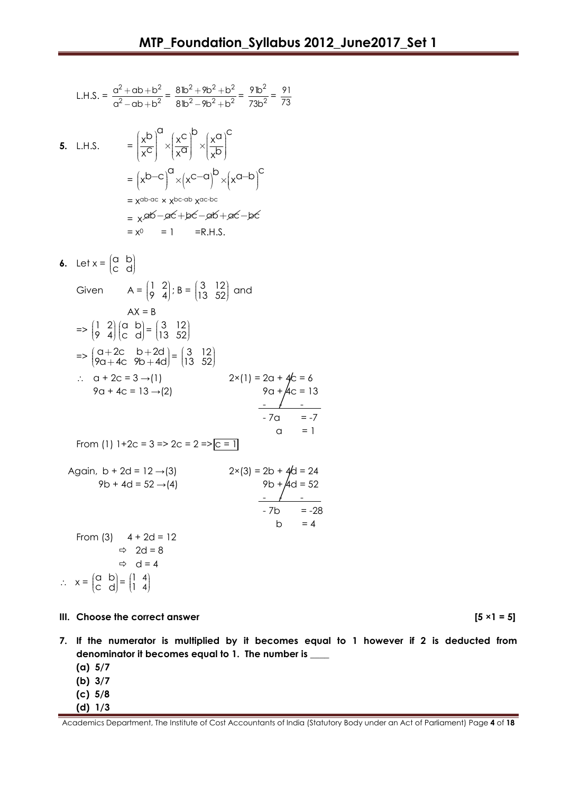L.H.S. = 
$$
\frac{a^2 + ab + b^2}{a^2 - ab + b^2} = \frac{8b^2 + 9b^2 + b^2}{8b^2 - 9b^2 + b^2} = \frac{9b^2}{73b^2} = \frac{91}{73}
$$

- **5.** L.H.S.  $= \left(\frac{x^{b}}{c}\right)^{a} \times \left(\frac{x^{c}}{a}\right)^{b} \times \left(\frac{x^{a}}{b}\right)^{c}$  $\left| \frac{x}{x^c} \right| \times \left| \frac{x}{x^a} \right| \times \left| \frac{x}{x^b} \right|$  $\left(\frac{x^{b}}{x^{c}}\right)^{a} \times \left(\frac{x^{c}}{x^{a}}\right)^{b} \times \left(\frac{x^{a}}{x^{b}}\right)^{c}$  $= (x^{b-c})^a \times (x^{c-a})^b \times (x^{a-b})^c$ = x ab-ac × xbc-ab x ac-bc  $=\chi$ ab—ac $+\rho$ c—ab $+\rho$ c—bc  $= x^0 = 1 = R.H.S.$
- **6.** Let  $x = \begin{bmatrix} a & b \\ c & d \end{bmatrix}$  $\begin{pmatrix} a & b \\ c & d \end{pmatrix}$ Given  $A = \begin{pmatrix} 1 & 2 \\ 0 & 4 \end{pmatrix}$  $\begin{pmatrix} 1 & 2 \\ 9 & 4 \end{pmatrix}$ ; B =  $\begin{pmatrix} 3 & 12 \\ 13 & 52 \end{pmatrix}$  $\begin{pmatrix} 3 & 12 \\ 13 & 52 \end{pmatrix}$  and  $AX = B$  $\Rightarrow$   $\begin{pmatrix} 1 & 2 \\ 0 & 4 \end{pmatrix}$  $\begin{pmatrix} 1 & 2 \\ 9 & 4 \end{pmatrix}$ a b  $\begin{pmatrix} a & b \\ c & d \end{pmatrix} = \begin{pmatrix} 3 & 12 \\ 13 & 52 \end{pmatrix}$  $\begin{pmatrix} 3 & 12 \\ 13 & 52 \end{pmatrix}$  $\Rightarrow$   $\begin{cases} a+2c & b+2d \\ 2a+4c & 2b+4d \end{cases}$  $\begin{pmatrix} a+2c & b+2d \\ 9a+4c & 9b+4d \end{pmatrix} =$  $+2c$  b+2  $+2c$  b + 2d =  $\begin{pmatrix} 3 & 12 \\ 13 & 52 \end{pmatrix}$  $\begin{pmatrix} 3 & 12 \\ 13 & 52 \end{pmatrix}$  $\therefore$  a + 2c = 3 →(1) 2×(1) = 2a + 4c = 6  $9a + 4c = 13 \rightarrow (2)$  9a +  $4c = 13$ - - - - 7a = -7  $\alpha$  = 1 From (1)  $1+2c = 3 \Rightarrow 2c = 2 \Rightarrow c = 1$ Again,  $b + 2d = 12 \rightarrow (3)$  $9b + 4d = 52 \rightarrow (4)$  9b +  $4d = 52$ - - -  $- 7b = -28$ b  $= 4$ From  $(3)$  4 + 2d = 12  $\Rightarrow$  2d = 8  $\Rightarrow$  d = 4  $\therefore$   $x = \begin{pmatrix} a & b \\ c & d \end{pmatrix}$  $\begin{pmatrix} a & b \\ c & d \end{pmatrix} = \begin{pmatrix} 1 & 4 \\ 1 & 4 \end{pmatrix}$ 1  $\begin{pmatrix} 1 & 4 \\ 1 & 4 \end{pmatrix}$

#### **III.** Choose the correct answer  $[5 \times 1 = 5]$

4

- 
- **7. If the numerator is multiplied by it becomes equal to 1 however if 2 is deducted from denominator it becomes equal to 1. The number is \_\_\_\_**
	- **(a) 5/7**
	- **(b) 3/7**
	- **(c) 5/8**
	- **(d) 1/3**

Academics Department, The Institute of Cost Accountants of India (Statutory Body under an Act of Parliament) Page **4** of **18**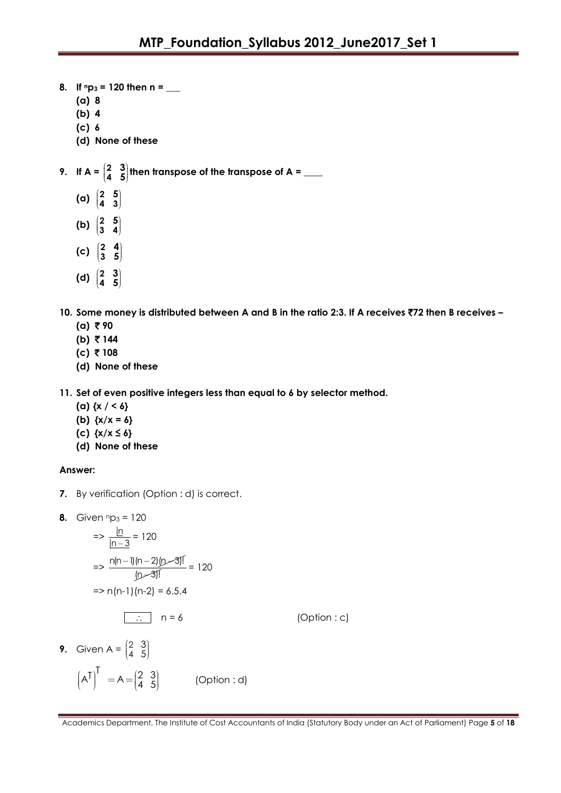- **8. If np<sup>3</sup> = 120 then n = \_\_\_**
	- **(a) 8**
	- **(b) 4**
	- **(c) 6**
	- **(d) None of these**

**9.** If  $A = \begin{bmatrix} 2 \\ 4 \end{bmatrix}$ **4 3**  $\begin{pmatrix} 2 & 3 \\ 4 & 5 \end{pmatrix}$  then transpose of the transpose of A =  $\_\_$ 

- **(a) 2**  $\begin{pmatrix} 2 & 5 \\ 4 & 3 \end{pmatrix}$
- (b)  $\frac{2}{3}$  $\begin{pmatrix} 2 & 5 \\ 3 & 4 \end{pmatrix}$
- **(c) 2 3 4**  $\begin{pmatrix} 2 & 4 \\ 3 & 5 \end{pmatrix}$
- **(d) 2 4 3**  $\begin{pmatrix} 2 & 3 \\ 4 & 5 \end{pmatrix}$

**10. Some money is distributed between A and B in the ratio 2:3. If A receives** `**72 then B receives –**  $(a)$   $\bar{z}$  90

- $(b)$  ₹ 144
- **(c)** ` **108**
- **(d) None of these**

**11. Set of even positive integers less than equal to 6 by selector method.**

- **(a) {x / < 6}**
- **(b) {x/x = 6}**
- **(c) {x/x ≤ 6}**
- **(d) None of these**

# **Answer:**

- **7.** By verification (Option : d) is correct.
- **8.** Given  $np_3 = 120$

$$
= \frac{|n|}{|n-3|} = 120
$$
  
\n
$$
= \frac{n(n-1)(n-2)(n-3)!}{(n-3)!} = 120
$$
  
\n
$$
= \frac{n(n-1)(n-2)}{2} = 6.5.4
$$
  
\n
$$
\therefore \quad n = 6
$$
 (Option : c)  
\nGiven A =  $\begin{pmatrix} 2 & 3 \\ 3 & 3 \end{pmatrix}$ 

**9.** Given A =  $\binom{2}{4}$ 4  $\begin{pmatrix} 2 & 3 \\ 4 & 5 \end{pmatrix}$  $(A^{\mathsf{T}})^{\mathsf{T}} = A = \begin{pmatrix} 2 & 3 \\ 4 & 5 \end{pmatrix}$  (Option : d)

Academics Department, The Institute of Cost Accountants of India (Statutory Body under an Act of Parliament) Page **5** of **18**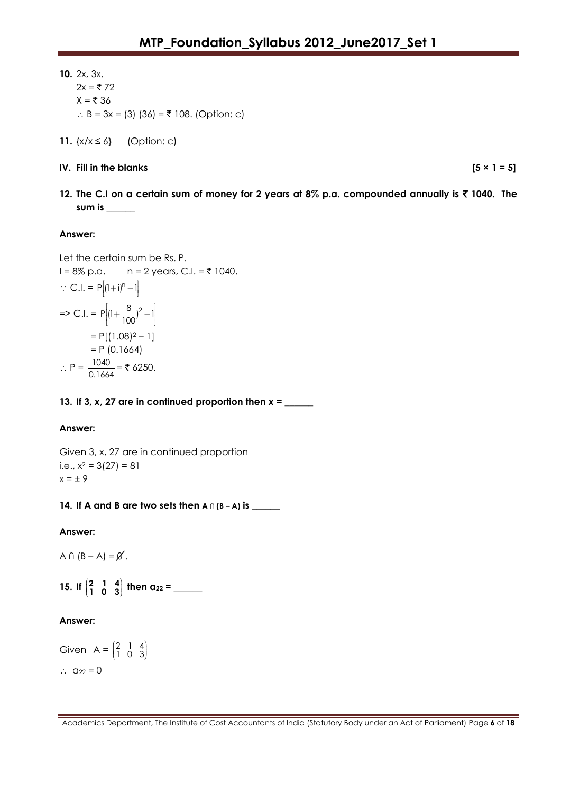**10.** 2x, 3x.  $2x = ₹72$  $X = \overline{\xi}$  36  $\therefore$  B = 3x = (3) (36) = ₹ 108. (Option: c)

**11.**  $\{x/x \le 6\}$  (Option: c)

**IV.** Fill in the blanks  $[5 \times 1 = 5]$ 

**12. The C.I on a certain sum of money for 2 years at 8% p.a. compounded annually is** ` **1040. The sum is \_\_\_\_\_\_**

#### **Answer:**

Let the certain sum be Rs. P.  $I = 8\% p.a.$  n = 2 years, C.I. = ₹ 1040.  $\therefore$  C.I. = P[(1+i)<sup>n</sup> - 1]  $\Rightarrow$  C.I. = P  $\left[1 + \frac{8}{100}\right)^2 - 1\right]$  $= P[(1.08)^{2} - 1]$  $= P (0.1664)$  $\therefore P = \frac{1040}{2444}$  $\frac{1040}{0.1664}$  = ₹ 6250.

**13. If 3,** *x***, 27 are in continued proportion then** *x* **= \_\_\_\_\_\_**

# **Answer:**

Given 3, x, 27 are in continued proportion i.e.,  $x^2 = 3(27) = 81$  $x = \pm 9$ 

# **14. If A and B are two sets then A ∩ (B – A) is \_\_\_\_\_\_**

**Answer:**

 $A \cap (B - A) = \emptyset$ .

**15.** If  $\begin{pmatrix} 2 & 1 & 4 \\ 1 & 0 & 3 \end{pmatrix}$ **1 0 3 then a<sup>22</sup> = \_\_\_\_\_\_**

# **Answer:**

Given  $A = \begin{bmatrix} 2 & 1 & 4 \\ 1 & 0 & 3 \end{bmatrix}$  $\begin{pmatrix} 2 & 1 & 4 \\ 1 & 0 & 3 \end{pmatrix}$  $\therefore$  a<sub>22</sub> = 0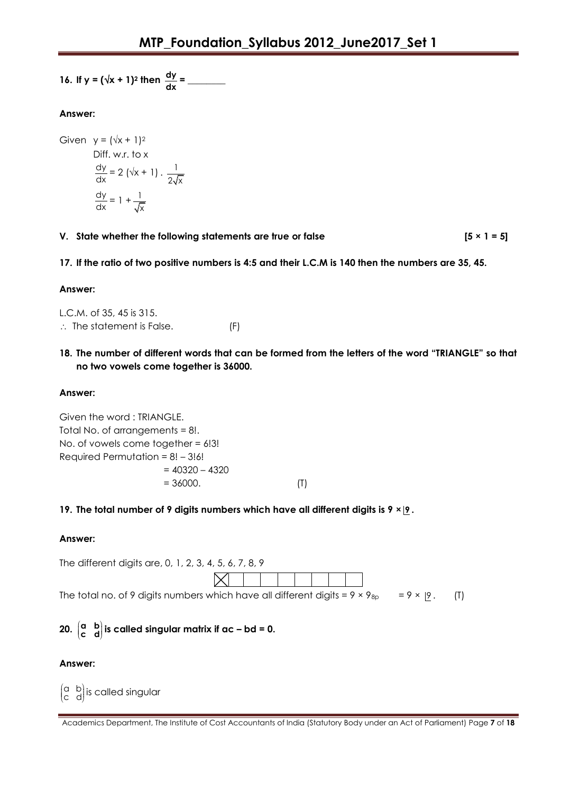16. If 
$$
y = (\sqrt{x} + 1)^2
$$
 then  $\frac{dy}{dx} =$ 

# **Answer:**

Given  $y = (\sqrt{x} + 1)^2$ Diff. w.r. to x dy  $\frac{dy}{dx}$  = 2 ( $\sqrt{x}$  + 1) .  $\frac{1}{2\sqrt{x}}$ 2√x dy  $\frac{dy}{dx} = 1 + \frac{1}{\sqrt{x}}$ x

- **V.** State whether the following statements are true or false  $[5 \times 1 = 5]$
- **17. If the ratio of two positive numbers is 4:5 and their L.C.M is 140 then the numbers are 35, 45.**

# **Answer:**

L.C.M. of 35, 45 is 315.  $\therefore$  The statement is False. (F)

**18. The number of different words that can be formed from the letters of the word "TRIANGLE" so that no two vowels come together is 36000.**

# **Answer:**

Given the word : TRIANGLE. Total No. of arrangements = 8!. No. of vowels come together = 6!3! Required Permutation =  $8! - 3!6!$  $= 40320 - 4320$  $= 36000.$  (T)

# **19. The total number of 9 digits numbers which have all different digits is 9 × 9 .**

# **Answer:**

| The different digits are, 0, 1, 2, 3, 4, 5, 6, 7, 8, 9                                                     |             |  |  |  |  |  |
|------------------------------------------------------------------------------------------------------------|-------------|--|--|--|--|--|
|                                                                                                            | $\boxtimes$ |  |  |  |  |  |
| The total no. of 9 digits numbers which have all different digits = $9 \times 9_{8p}$ = $9 \times 9$ . (T) |             |  |  |  |  |  |

#### **20. a b**  $\begin{pmatrix} a & b \\ c & d \end{pmatrix}$  is called singular matrix if ac – bd = 0.

# **Answer:**

a b  $\begin{pmatrix} a & b \ c & d \end{pmatrix}$ is called singular

Academics Department, The Institute of Cost Accountants of India (Statutory Body under an Act of Parliament) Page **7** of **18**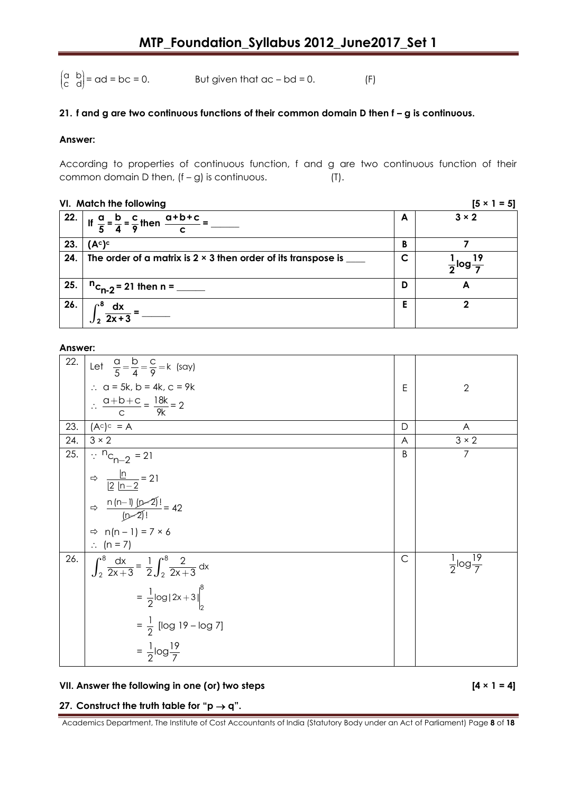a b  $\begin{pmatrix} a & b \\ c & d \end{pmatrix}$ But given that  $ac - bd = 0$ . (F)

#### **21. f and g are two continuous functions of their common domain D then f – g is continuous.**

#### **Answer:**

According to properties of continuous function, f and g are two continuous function of their common domain D then,  $(f - g)$  is continuous.  $(T)$ .

|     | VI. Match the following                                                                                                      |   | $[5 \times 1 = 5]$               |
|-----|------------------------------------------------------------------------------------------------------------------------------|---|----------------------------------|
|     | $\left \begin{array}{c} 22. \\ 11.5\end{array}\right $ If $\frac{a}{5} = \frac{b}{4} = \frac{c}{9}$ then $\frac{a+b+c}{c} =$ | A | $3 \times 2$                     |
| 23. | (A <sup>c</sup> ) <sup>c</sup>                                                                                               | B |                                  |
| 24. | The order of a matrix is $2 \times 3$ then order of its transpose is $\sqrt{ }$                                              | C | $\frac{1}{2}$ log $\frac{19}{4}$ |
| 25. | $n_{c_{n-2}}$ = 21 then n = _____                                                                                            | D | А                                |
| 26. | $\mathbf{e}$<br>$\int_2^{\infty} \frac{dx}{2x+3} =$                                                                          | E |                                  |

# **Answer:**

| 22. | Let $\frac{a}{5} = \frac{b}{4} = \frac{c}{9} = k$ (say)             |              |                                  |
|-----|---------------------------------------------------------------------|--------------|----------------------------------|
|     | $\therefore$ a = 5k, b = 4k, c = 9k                                 | E            | $\overline{2}$                   |
|     | $\therefore \frac{a+b+c}{c} = \frac{18k}{9k} = 2$                   |              |                                  |
| 23. | $(Ac)c = A$                                                         | D            | A                                |
| 24. | $3 \times 2$                                                        | A            | $3 \times 2$                     |
| 25. | $\therefore$ <sup>n</sup> c <sub>n-2</sub> = 21                     | B            | $\overline{7}$                   |
|     | $Arr \frac{\ln}{ 2 n-2 } = 21$                                      |              |                                  |
|     | $\Rightarrow \frac{n(n-1)(n-2)!}{(n-2)!} = 42$                      |              |                                  |
|     | $\Rightarrow$ n(n - 1) = 7 × 6                                      |              |                                  |
|     | $\therefore$ (n = 7)                                                |              |                                  |
| 26. | $\int_2^8 \frac{dx}{2x+3} = \frac{1}{2} \int_2^8 \frac{2}{2x+3} dx$ | $\mathsf{C}$ | $\frac{1}{2}$ log $\frac{19}{7}$ |
|     | $=\frac{1}{2}$ log 2x+3  $\Big _2^8$                                |              |                                  |
|     | $=\frac{1}{2}$ [log 19 – log 7]                                     |              |                                  |
|     | $=\frac{1}{2}$ log $\frac{19}{7}$                                   |              |                                  |

#### **VII. Answer the following in one (or) two steps [4 × 1 = 4]**

#### **27.** Construct the truth table for " $p \rightarrow q$ ".

Academics Department, The Institute of Cost Accountants of India (Statutory Body under an Act of Parliament) Page **8** of **18**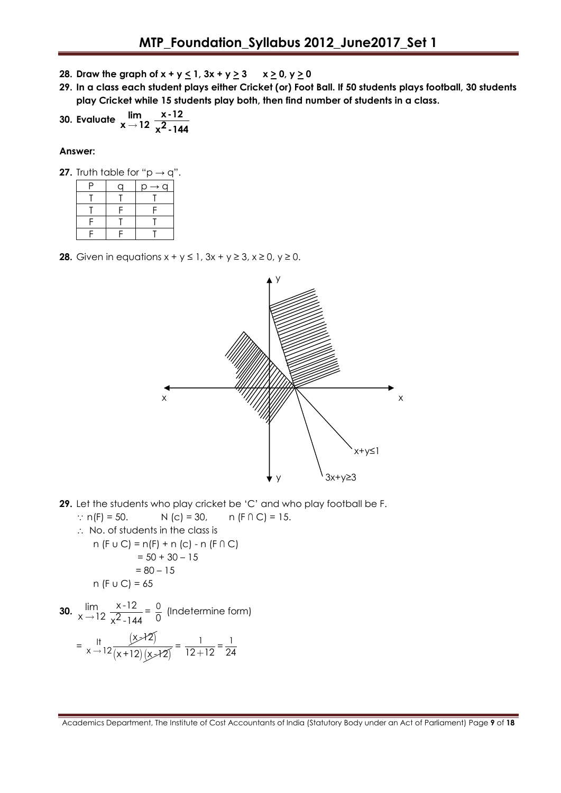- **28.** Draw the graph of  $x + y \le 1$ ,  $3x + y \ge 3$   $x \ge 0$ ,  $y \ge 0$
- **29. In a class each student plays either Cricket (or) Foot Ball. If 50 students plays football, 30 students play Cricket while 15 students play both, then find number of students in a class.**

30. Evaluate 
$$
\lim_{x \to 12} \frac{x-12}{x^2-144}
$$

#### **Answer:**

|  | <b>27.</b> Truth table for "p $\rightarrow$ q". |  |  |  |
|--|-------------------------------------------------|--|--|--|
|  |                                                 |  |  |  |

| D | ∩ | $p \rightarrow q$ |
|---|---|-------------------|
|   |   |                   |
|   | Ξ |                   |
| c |   |                   |
|   | Ξ |                   |

**28.** Given in equations  $x + y \le 1$ ,  $3x + y \ge 3$ ,  $x \ge 0$ ,  $y \ge 0$ .



**29.** Let the students who play cricket be "C" and who play football be F.

 n(F) = 50. N (c) = 30, n (F ∩ C) = 15. No. of students in the class is n (F u C) = n(F) + n (c) - n (F ∩ C) = 50 + 30 – 15 = 80 – 15 n (F u C) = 65

**30.**  $\lim_{x \to 12} \frac{x-12}{2}$  $\lim_{x \to 12} \frac{x-12}{x^2-144} = \frac{0}{0}$  $\frac{0}{0}$  (Indetermine form)  $=\frac{11}{x-12}\frac{(x-12)}{(x+12)(x-12)}$  $x$  $+2$  $\frac{11}{x}$  +12  $\frac{(x>12)}{(x+12)(x+2)} = \frac{1}{12}$  $\frac{1}{12+12} = \frac{1}{24}$ 24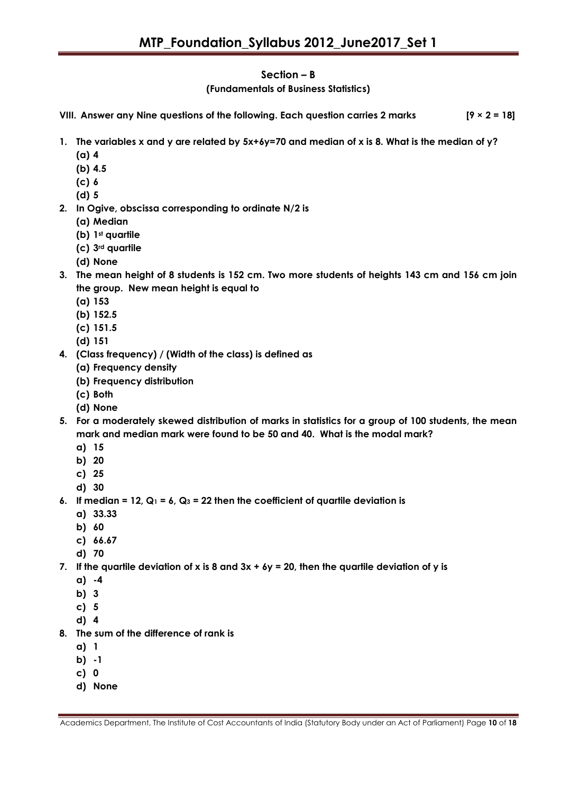# **Section – B**

**(Fundamentals of Business Statistics)**

**VIII. Answer any Nine questions of the following. Each question carries 2 marks [9 × 2 = 18]**

- **1. The variables x and y are related by 5x+6y=70 and median of x is 8. What is the median of y?**
	- **(a) 4**
	- **(b) 4.5**
	- **(c) 6**
	- **(d) 5**
- **2. In Ogive, obscissa corresponding to ordinate N/2 is** 
	- **(a) Median**
	- **(b) 1st quartile**
	- **(c) 3rd quartile**
	- **(d) None**
- **3. The mean height of 8 students is 152 cm. Two more students of heights 143 cm and 156 cm join the group. New mean height is equal to**
	- **(a) 153**
	- **(b) 152.5**
	- **(c) 151.5**
	- **(d) 151**
- **4. (Class frequency) / (Width of the class) is defined as**
	- **(a) Frequency density**
	- **(b) Frequency distribution**
	- **(c) Both**
	- **(d) None**
- **5. For a moderately skewed distribution of marks in statistics for a group of 100 students, the mean mark and median mark were found to be 50 and 40. What is the modal mark?**
	- **a) 15**
	- **b) 20**
	- **c) 25**
	- **d) 30**
- **6. If median = 12, Q<sup>1</sup> = 6, Q<sup>3</sup> = 22 then the coefficient of quartile deviation is**
	- **a) 33.33**
	- **b) 60**
	- **c) 66.67**
	- **d) 70**
- **7. If the quartile deviation of x is 8 and 3x + 6y = 20, then the quartile deviation of y is**
	- **a) -4**
	- **b) 3**
	- **c) 5**
	- **d) 4**
- **8. The sum of the difference of rank is**
	- **a) 1**
	- **b) -1**
	- **c) 0**
	- **d) None**

Academics Department, The Institute of Cost Accountants of India (Statutory Body under an Act of Parliament) Page **10** of **18**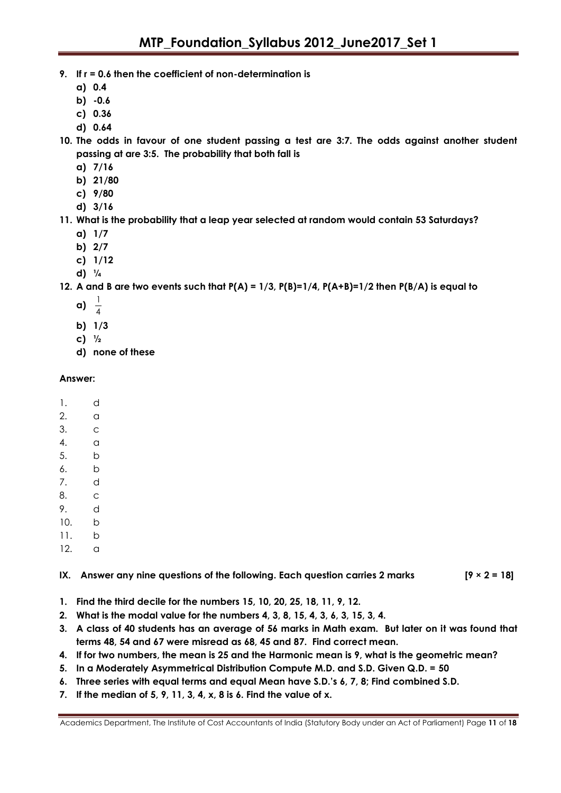- **9. If r = 0.6 then the coefficient of non-determination is**
	- **a) 0.4**
	- **b) -0.6**
	- **c) 0.36**
	- **d) 0.64**
- **10. The odds in favour of one student passing a test are 3:7. The odds against another student passing at are 3:5. The probability that both fall is**
	- **a) 7/16**
	- **b) 21/80**
	- **c) 9/80**
	- **d) 3/16**
- **11. What is the probability that a leap year selected at random would contain 53 Saturdays?**
	- **a) 1/7**
	- **b) 2/7**
	- **c) 1/12**
	- **d) ¼**

**12. A and B are two events such that P(A) = 1/3, P(B)=1/4, P(A+B)=1/2 then P(B/A) is equal to**

- **a)** 1  $\overline{A}$
- 
- **b) 1/3**
- **c) ½**
- **d) none of these**

#### **Answer:**

- 1. d
- 2. a
- 3. c
- 4. a
- 5. b
- 6. b
- 7. d
- 8. c
- 9. d
- 10. b
- 11. b 12. a

# **IX. Answer any nine questions of the following. Each question carries 2 marks [9 × 2 = 18]**

- **1. Find the third decile for the numbers 15, 10, 20, 25, 18, 11, 9, 12.**
- **2. What is the modal value for the numbers 4, 3, 8, 15, 4, 3, 6, 3, 15, 3, 4.**
- **3. A class of 40 students has an average of 56 marks in Math exam. But later on it was found that terms 48, 54 and 67 were misread as 68, 45 and 87. Find correct mean.**
- **4. If for two numbers, the mean is 25 and the Harmonic mean is 9, what is the geometric mean?**
- **5. In a Moderately Asymmetrical Distribution Compute M.D. and S.D. Given Q.D. = 50**
- **6. Three series with equal terms and equal Mean have S.D."s 6, 7, 8; Find combined S.D.**
- **7. If the median of 5, 9, 11, 3, 4, x, 8 is 6. Find the value of x.**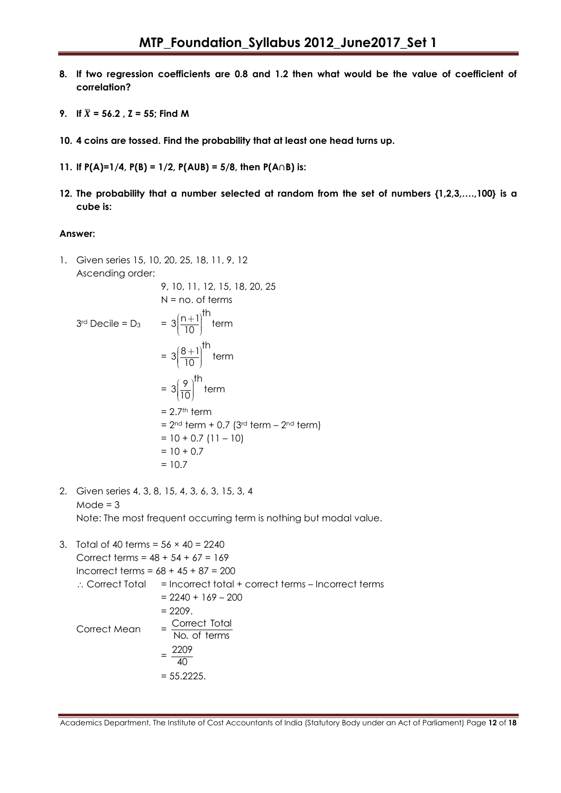- **8. If two regression coefficients are 0.8 and 1.2 then what would be the value of coefficient of correlation?**
- **9. If**  $\bar{X} = 56.2$ ,  $\bar{Z} = 55$ ; Find M
- **10. 4 coins are tossed. Find the probability that at least one head turns up.**
- **11. If P(A)=1/4, P(B) = 1/2, P(AUB) = 5/8, then P(A**∩**B) is:**
- **12. The probability that a number selected at random from the set of numbers {1,2,3,….,100} is a cube is:**

#### **Answer:**

1. Given series 15, 10, 20, 25, 18, 11, 9, 12  
\nAscending order:  
\n9, 10, 11, 12, 15, 18, 20, 25  
\nN = no. of terms  
\n3<sup>rd</sup> Decile = D<sub>3</sub>  
\n
$$
= 3\left(\frac{n+1}{10}\right)^{th} term
$$
\n
$$
= 3\left(\frac{8+1}{10}\right)^{th} term
$$
\n
$$
= 3\left(\frac{9}{10}\right)^{th} term
$$
\n
$$
= 2.7^{th} term
$$
\n
$$
= 2^{nd} term + 0.7 (3^{rd} term - 2^{nd} term)
$$
\n
$$
= 10 + 0.7 (11 - 10)
$$
\n
$$
= 10 + 0.7
$$
\n
$$
= 10.7
$$

- 2. Given series 4, 3, 8, 15, 4, 3, 6, 3, 15, 3, 4  $Mode = 3$ Note: The most frequent occurring term is nothing but modal value.
- 3. Total of 40 terms =  $56 \times 40 = 2240$ Correct terms = 48 + 54 + 67 = 169 Incorrect terms = 68 + 45 + 87 = 200  $\therefore$  Correct Total = Incorrect total + correct terms – Incorrect terms  $= 2240 + 169 - 200$  $= 2209.$ Correct Mean  $=$  Correct Total No. of terms  $=\frac{2209}{10}$ 40  $= 55.2225.$

Academics Department, The Institute of Cost Accountants of India (Statutory Body under an Act of Parliament) Page **12** of **18**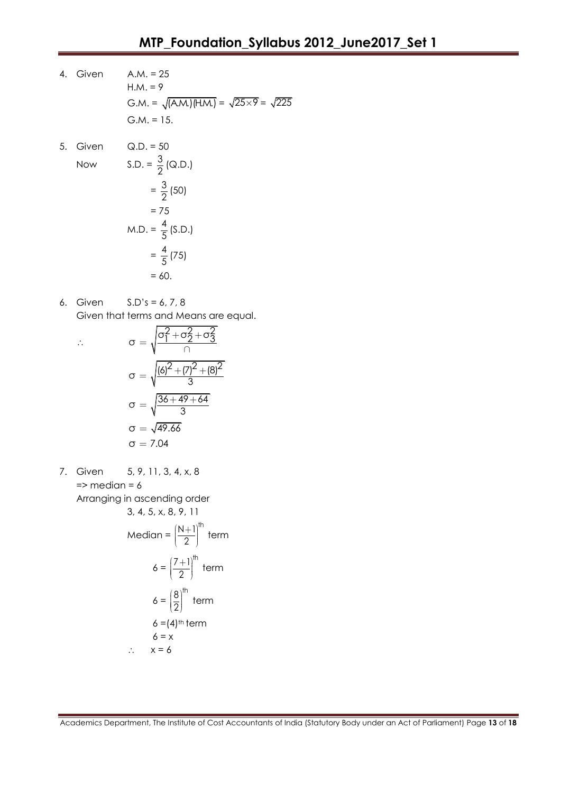- 4. Given A.M. = 25  $H.M. = 9$ G.M. =  $\sqrt{(A.M.) (H.M.)} = \sqrt{25 \times 9} = \sqrt{225}$  $G.M. = 15.$
- 5. Given Q.D. = 50

Now

S.D. = 
$$
\frac{3}{2}
$$
 (Q.D.)  
\n=  $\frac{3}{2}$  (50)  
\n= 75  
\nM.D. =  $\frac{4}{5}$  (S.D.)  
\n=  $\frac{4}{5}$  (75)  
\n= 60.

6. Given S.D"s = 6, 7, 8 Given that terms and Means are equal.

$$
\therefore \qquad \sigma = \sqrt{\frac{\sigma_1^2 + \sigma_2^2 + \sigma_3^2}{\cap}}
$$
\n
$$
\sigma = \sqrt{\frac{(6)^2 + (7)^2 + (8)^2}{3}}
$$
\n
$$
\sigma = \sqrt{\frac{36 + 49 + 64}{3}}
$$
\n
$$
\sigma = \sqrt{49.66}
$$
\n
$$
\sigma = 7.04
$$

7. Given 5, 9, 11, 3, 4, x, 8  $\Rightarrow$  median = 6 Arranging in ascending order 3, 4, 5, x, 8, 9, 11

3, 4, 5, x, 8, 9, 11  
\nMedian = 
$$
\left(\frac{N+1}{2}\right)^{th}
$$
 term  
\n
$$
6 = \left(\frac{7+1}{2}\right)^{th}
$$
 term  
\n
$$
6 = \left(\frac{8}{2}\right)^{th}
$$
 term  
\n
$$
6 = (4)^{th}
$$
 term  
\n
$$
6 = x
$$
  
\n
$$
\therefore x = 6
$$

Academics Department, The Institute of Cost Accountants of India (Statutory Body under an Act of Parliament) Page **13** of **18**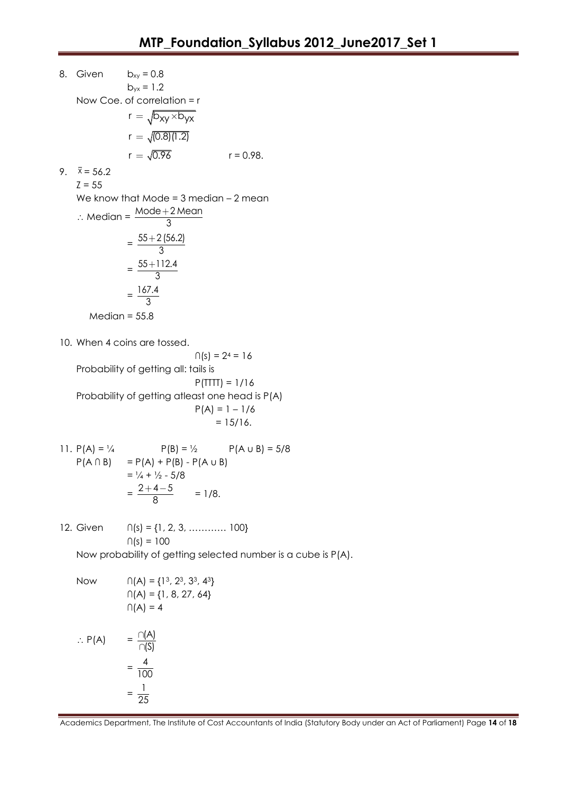8. Given  $b_{xy} = 0.8$  $b_{yx} = 1.2$ Now Coe. of correlation = r  $r = \sqrt{b_{XY} \times b_{YX}}$  $r = \sqrt{(0.8)(1.2)}$  $r = \sqrt{0.96}$  $r = 0.98$ . 9.  $\bar{x} = 56.2$  $Z = 55$ We know that Mode =  $3$  median  $-2$  mean  $\therefore$  Median =  $\frac{\text{Mode} + 2 \text{ Mean}}{2}$ 3  $^{+}$  $=\frac{55+2(56.2)}{2}$ 3  $^{+}$  $=\frac{55+112.4}{8}$ 3  $^{+}$  $=\frac{167.4}{2}$ 3  $Median = 55.8$ 10. When 4 coins are tossed.  $\cap$ (s) = 2<sup>4</sup> = 16 Probability of getting all: tails is  $P(TTTT) = 1/16$ Probability of getting atleast one head is P(A)  $P(A) = 1 - 1/6$  $= 15/16.$ 11.  $P(A) = \frac{1}{4}$   $P(B) = \frac{1}{2}$   $P(A \cup B) = \frac{5}{8}$  $P(A \cap B) = P(A) + P(B) - P(A \cup B)$  $= \frac{1}{4} + \frac{1}{2} - \frac{5}{8}$  $=\frac{2+4-5}{2}$ 8  $\frac{+4-5}{2}$  = 1/8. 12. Given ∩(s) = {1, 2, 3, ………… 100}  $∩(s) = 100$ Now probability of getting selected number is a cube is P(A). Now  $\bigcap (A) = \{1^3, 2^3, 3^3, 4^3\}$  $\cap$ (A) = {1, 8, 27, 64}  $\cap$ (A) = 4  $\therefore$  P(A) =  $\frac{\cap (A)}{\neg (S)}$ (S)  $\cap$  $\cap$  $=\frac{4}{10}$ 100  $=\frac{1}{\alpha'}$ 

25

Academics Department, The Institute of Cost Accountants of India (Statutory Body under an Act of Parliament) Page **14** of **18**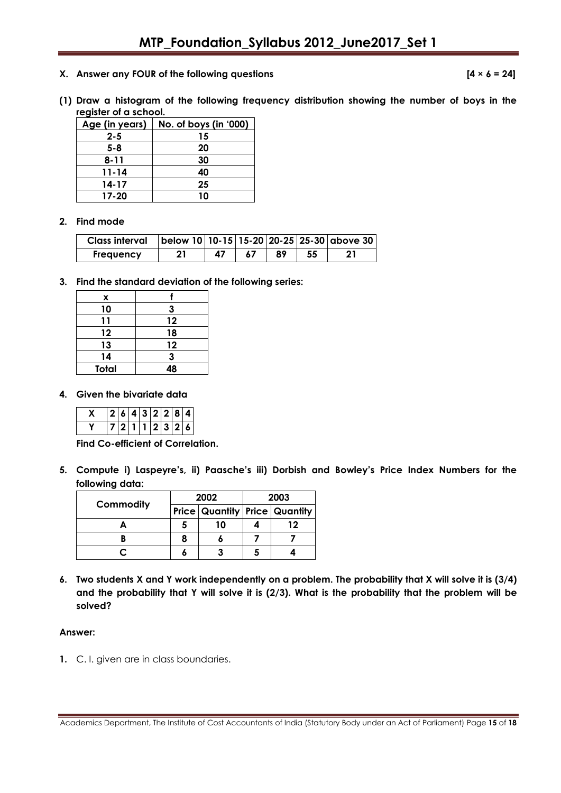**X. Answer any FOUR of the following questions [4 × 6 = 24]**

**(1) Draw a histogram of the following frequency distribution showing the number of boys in the register of a school.**

| Age (in years) | No. of boys (in '000) |
|----------------|-----------------------|
| $2 - 5$        | 15                    |
| 5-8            | 20                    |
| 8-11           | 30                    |
| 11-14          | 40                    |
| 14-17          | 25                    |
| $17 - 20$      | 10                    |

#### **2. Find mode**

| <b>Class interval</b> |    |    |    | below 10   10-15   15-20   20-25   25-30   above 30 |
|-----------------------|----|----|----|-----------------------------------------------------|
| <b>Frequency</b>      | 47 | 89 | 55 |                                                     |

**3. Find the standard deviation of the following series:**

| x            |    |
|--------------|----|
| 10           | 3  |
| 11           | 12 |
| 12           | 18 |
| 13           | 12 |
| 14           | 3  |
| <b>Total</b> | 48 |

#### **4. Given the bivariate data**

|  |  | 2   6   4   3   2   2   8   4 |  |  |
|--|--|-------------------------------|--|--|
|  |  | '7 2 1 1 2 3 2 6              |  |  |

**Find Co-efficient of Correlation.**

**5. Compute i) Laspeyre"s, ii) Paasche"s iii) Dorbish and Bowley"s Price Index Numbers for the following data:**

| Commodity | 2002                                 | 2003 |    |  |
|-----------|--------------------------------------|------|----|--|
|           | <b>Price Quantity Price Quantity</b> |      |    |  |
|           | 10                                   |      | 12 |  |
|           |                                      |      |    |  |
|           |                                      |      |    |  |

**6. Two students X and Y work independently on a problem. The probability that X will solve it is (3/4) and the probability that Y will solve it is (2/3). What is the probability that the problem will be solved?**

#### **Answer:**

**1.** C. I. given are in class boundaries.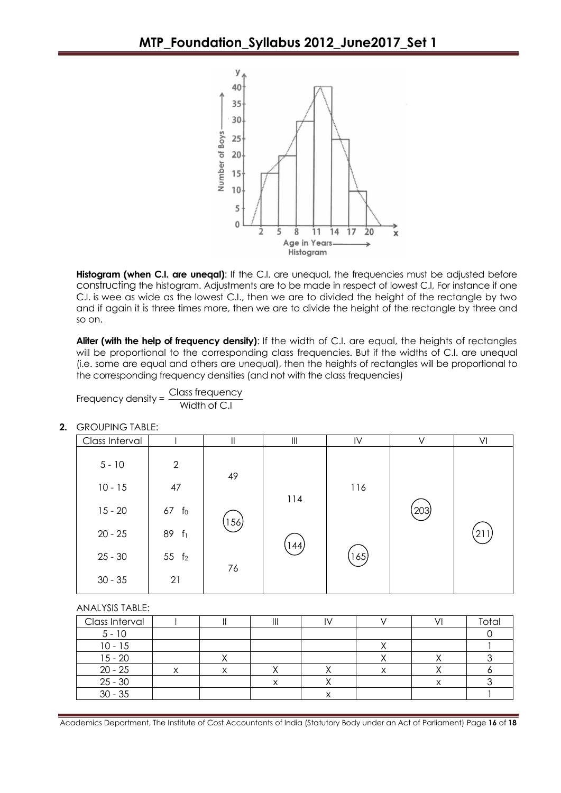

**Histogram (when C.I. are unegal):** If the C.I. are unequal, the frequencies must be adjusted before constructing the histogram. Adjustments are to be made in respect of lowest C.I, For instance if one C.I. is wee as wide as the lowest C.I., then we are to divided the height of the rectangle by two and if again it is three times more, then we are to divide the height of the rectangle by three and so on.

**Aliter (with the help of frequency density)**: If the width of C.I. are equal, the heights of rectangles will be proportional to the corresponding class frequencies. But if the widths of C.I. are unequal (i.e. some are equal and others are unequal), then the heights of rectangles will be proportional to the corresponding frequency densities (and not with the class frequencies)

Frequency density = 
$$
\frac{Class\ frequency}{Width\ of\ C.I}
$$

| Class Interval |                   | II   | Ш    | IV    | V     | VI  |
|----------------|-------------------|------|------|-------|-------|-----|
| $5 - 10$       | $\mathbf{2}$      |      |      |       |       |     |
| $10 - 15$      | 47                | 49   |      | 116   |       |     |
| $15 - 20$      | $67$ fo           |      | 114  |       | $203$ |     |
| $20 - 25$      | 89 f <sub>1</sub> | 156) | 144) |       |       | 211 |
| $25 - 30$      | 55 f <sub>2</sub> | 76   |      | (165) |       |     |
| $30 - 35$      | 21                |      |      |       |       |     |

**2.** GROUPING TABLE:

ANALYSIS TABLE:

| Class Interval |  | ш |   |  | Total |
|----------------|--|---|---|--|-------|
| $5 - 10$       |  |   |   |  |       |
| 10 - 15        |  |   |   |  |       |
| $15 - 20$      |  |   |   |  |       |
| $20 - 25$      |  |   |   |  |       |
| $25 - 30$      |  |   |   |  |       |
| $30 - 35$      |  |   | ⌒ |  |       |

Academics Department, The Institute of Cost Accountants of India (Statutory Body under an Act of Parliament) Page **16** of **18**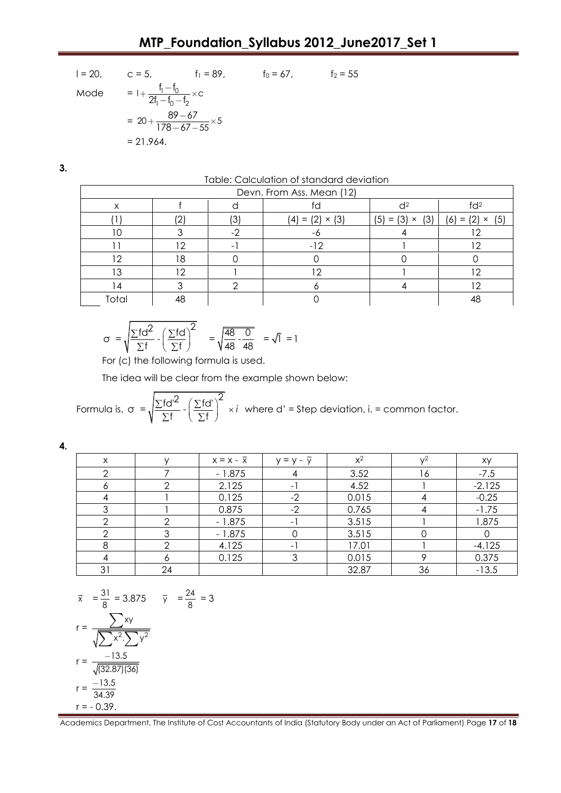$$
I = 20, \t c = 5, \t f_1 = 89, \t f_0 = 67, \t f_2 = 55
$$
  
\nMode 
$$
= I + \frac{f_1 - f_0}{2f_1 - f_0 - f_2} \times c
$$

$$
= 20 + \frac{89 - 67}{178 - 67 - 55} \times 5
$$

$$
= 21.964.
$$

**3.**

Table: Calculation of standard deviation

| Devn. From Ass. Mean (12) |     |    |                             |                           |                           |  |  |
|---------------------------|-----|----|-----------------------------|---------------------------|---------------------------|--|--|
| Χ                         |     |    |                             |                           |                           |  |  |
|                           | ι∩  | (3 | $(4) = (2)$<br>$\times$ (3) | (3)<br>$(5) = (3) \times$ | $(6) = (2) \times$<br>(5) |  |  |
| l C                       |     | н. |                             |                           |                           |  |  |
|                           | ר ו | -  | - 1                         |                           |                           |  |  |
| 12                        | 18  |    |                             |                           |                           |  |  |
| 13                        | 12  |    |                             |                           |                           |  |  |
| 14                        |     |    |                             |                           |                           |  |  |
| Total                     |     |    |                             |                           |                           |  |  |

$$
\sigma = \sqrt{\frac{\Sigma \text{fd}^2}{\Sigma \text{f}} - \left(\frac{\Sigma \text{fd}}{\Sigma \text{f}}\right)^2} = \sqrt{\frac{48}{48} - \frac{0}{48}} = \sqrt{1} = 1
$$

For (c) the following formula is used.

The idea will be clear from the example shown below:

Formula is, 
$$
\sigma = \sqrt{\frac{\Sigma fd'^2}{\Sigma f} - (\frac{\Sigma fd'}{\Sigma f})^2} \times i
$$
 where d' = Step deviation, i. = common factor.

**4.**

| X  |    | $x = x - \overline{x}$ | $y = y - y$ | $x^2$ | $\sqrt{2}$ | XY       |
|----|----|------------------------|-------------|-------|------------|----------|
|    |    | $-1.875$               |             | 3.52  | 16         | $-7.5$   |
|    |    | 2.125                  |             | 4.52  |            | $-2.125$ |
|    |    | 0.125                  | -2          | 0.015 |            | $-0.25$  |
|    |    | 0.875                  | -2          | 0.765 |            | $-1.75$  |
|    |    | $-1.875$               |             | 3.515 |            | 1.875    |
|    |    | $-1.875$               |             | 3.515 |            |          |
|    |    | 4.125                  | -           | 17.01 |            | $-4.125$ |
|    |    | 0.125                  |             | 0.015 |            | 0.375    |
| 31 | 24 |                        |             | 32.87 | 36         | $-13.5$  |

$$
\bar{x} = \frac{31}{8} = 3.875 \qquad \bar{y} = \frac{24}{8} = 3
$$
\n
$$
r = \frac{\sum xy}{\sqrt{\sum x^{2} \cdot \sum y^{2}}}
$$
\n
$$
r = \frac{-13.5}{\sqrt{(32.87)(36)}}
$$
\n
$$
r = \frac{-13.5}{34.39}
$$
\n
$$
r = -0.39.
$$

Academics Department, The Institute of Cost Accountants of India (Statutory Body under an Act of Parliament) Page **17** of **18**